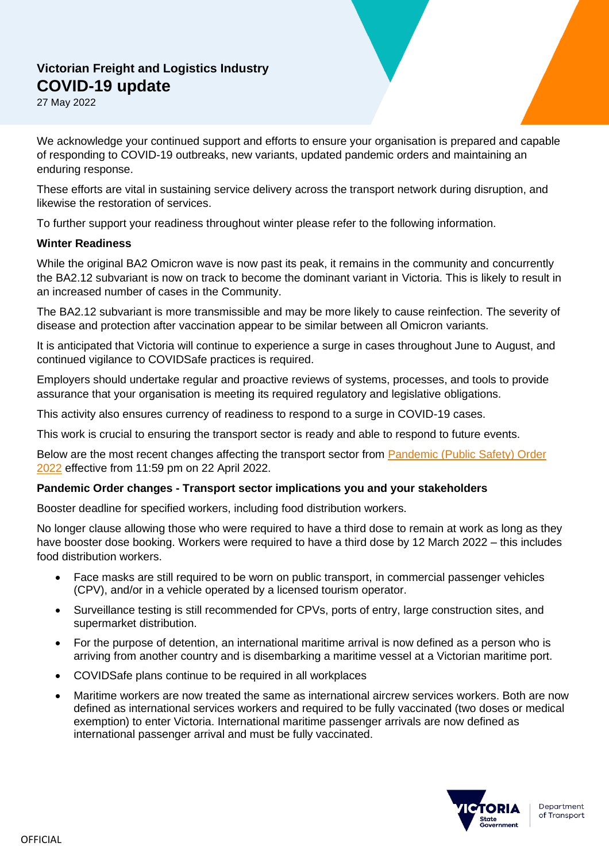# **Victorian Freight and Logistics Industry COVID-19 update**

27 May 2022

We acknowledge your continued support and efforts to ensure your organisation is prepared and capable of responding to COVID-19 outbreaks, new variants, updated pandemic orders and maintaining an enduring response.

These efforts are vital in sustaining service delivery across the transport network during disruption, and likewise the restoration of services.

To further support your readiness throughout winter please refer to the following information.

### **Winter Readiness**

While the original BA2 Omicron wave is now past its peak, it remains in the community and concurrently the BA2.12 subvariant is now on track to become the dominant variant in Victoria. This is likely to result in an increased number of cases in the Community.

The BA2.12 subvariant is more transmissible and may be more likely to cause reinfection. The severity of disease and protection after vaccination appear to be similar between all Omicron variants.

It is anticipated that Victoria will continue to experience a surge in cases throughout June to August, and continued vigilance to COVIDSafe practices is required.

Employers should undertake regular and proactive reviews of systems, processes, and tools to provide assurance that your organisation is meeting its required regulatory and legislative obligations.

This activity also ensures currency of readiness to respond to a surge in COVID-19 cases.

This work is crucial to ensuring the transport sector is ready and able to respond to future events.

Below are the most recent changes affecting the transport sector from [Pandemic \(Public](https://www.health.vic.gov.au/covid-19/public-safety-order-2022) Safety) Order [2022](https://www.health.vic.gov.au/covid-19/public-safety-order-2022) effective from 11:59 pm on 22 April 2022.

## **Pandemic Order changes - Transport sector implications you and your stakeholders**

Booster deadline for specified workers, including food distribution workers.

No longer clause allowing those who were required to have a third dose to remain at work as long as they have booster dose booking. Workers were required to have a third dose by 12 March 2022 – this includes food distribution workers.

- Face masks are still required to be worn on public transport, in commercial passenger vehicles (CPV), and/or in a vehicle operated by a licensed tourism operator.
- Surveillance testing is still recommended for CPVs, ports of entry, large construction sites, and supermarket distribution.
- For the purpose of detention, an international maritime arrival is now defined as a person who is arriving from another country and is disembarking a maritime vessel at a Victorian maritime port.
- COVIDSafe plans continue to be required in all workplaces
- Maritime workers are now treated the same as international aircrew services workers. Both are now defined as international services workers and required to be fully vaccinated (two doses or medical exemption) to enter Victoria. International maritime passenger arrivals are now defined as international passenger arrival and must be fully vaccinated.